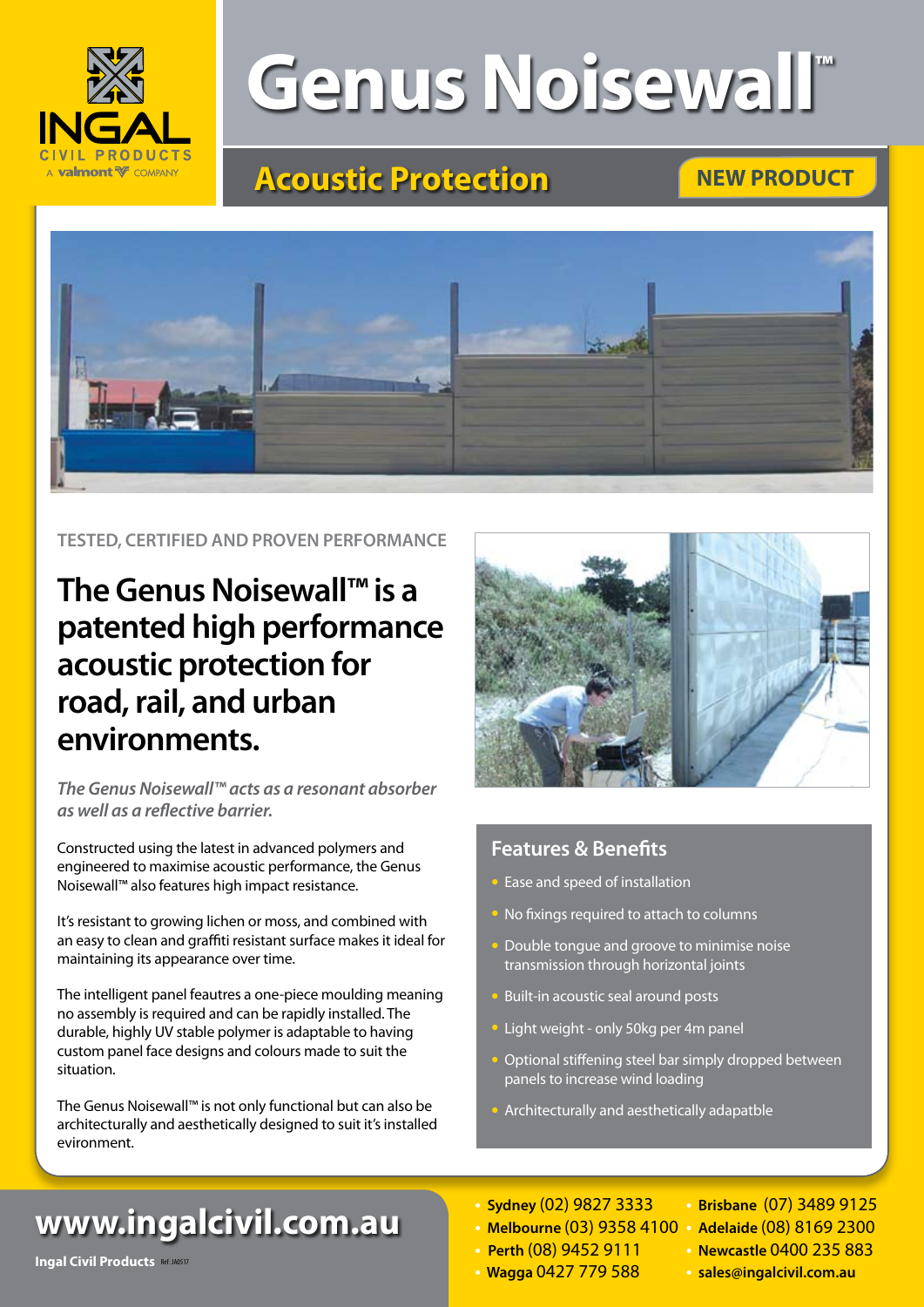

# **Genus Noisewall™**

## **Acoustic Protection**

## **NEW PRODUCT**



**TESTED, CERTIFIED AND PROVEN PERFORMANCE**

## **The Genus Noisewall™ is a patented high performance acoustic protection for road, rail, and urban environments.**

*The Genus Noisewall™ acts as a resonant absorber as well as a reflective barrier.*

Constructed using the latest in advanced polymers and engineered to maximise acoustic performance, the Genus Noisewall™ also features high impact resistance.

It's resistant to growing lichen or moss, and combined with an easy to clean and graffiti resistant surface makes it ideal for maintaining its appearance over time.

The intelligent panel feautres a one-piece moulding meaning no assembly is required and can be rapidly installed. The durable, highly UV stable polymer is adaptable to having custom panel face designs and colours made to suit the situation.

The Genus Noisewall™ is not only functional but can also be architecturally and aesthetically designed to suit it's installed evironment.



### **Features & Benefits**

- Ease and speed of installation
- No fixings required to attach to columns
- Double tongue and groove to minimise noise transmission through horizontal joints
- Built-in acoustic seal around posts
- Light weight only 50kg per 4m panel
- Optional stiffening steel bar simply dropped between panels to increase wind loading
- Architecturally and aesthetically adapatble

## **www.ingalcivil.com.au**

- **• Melbourne** (03) 9358 4100 **• Adelaide** (08) 8169 2300
- **Perth** (08) 9452 9111 **• Newcastle** 0400 235 883
- 
- **• Sydney** (02) 9827 3333 **• Brisbane** (07) 3489 9125
	-
	-
- **• Wagga** 0427 779 588 **• sales@ingalcivil.com.au** Ref: JA0517
- **sales**@ingalcivil.com.au